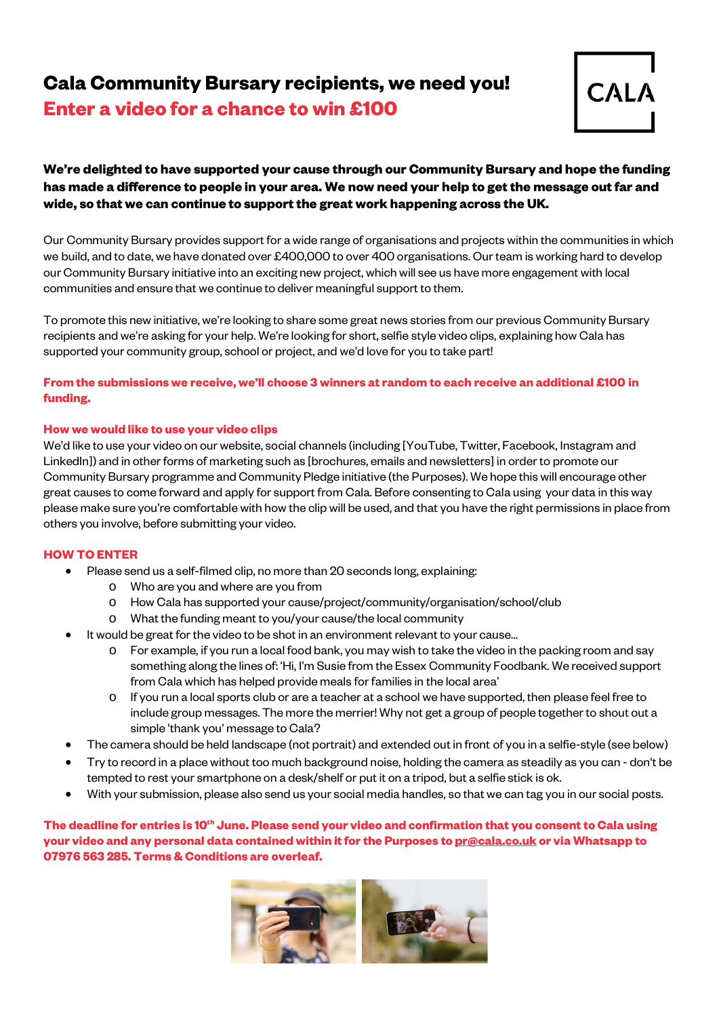## **Cala Community Bursary recipients, we need you!**

**Enter a video for a chance to win £100** 



### **We're delighted to have supported your cause through our Community Bursary and hope the funding has made a difference to people in your area. We now need your help to get the message out far and wide, so that we can continue to support the great work happening across the UK.**

Our Community Bursary provides support for a wide range of organisations and projects within the communities in which we build, and to date, we have donated over £400,000 to over 400 organisations. Our team is working hard to develop our Community Bursary initiative into an exciting new project, which will see us have more engagement with local communities and ensure that we continue to deliver meaningful support to them.

To promote this new initiative, we're looking to share some great news stories from our previous Community Bursary recipients and we're asking for your help. We're looking for short, selfie style video clips, explaining how Cala has supported your community group, school or project, and we'd love for you to take part!

#### **From the submissions we receive, we'll choose 3 winners at random to each receive an additional £100 in funding.**

#### **How we would like to use your video clips**

We'd like to use your video on our website, social channels (including [YouTube, Twitter, Facebook, Instagram and LinkedIn]) and in other forms of marketing such as [brochures, emails and newsletters] in order to promote our Community Bursary programme and Community Pledge initiative (the Purposes). We hope this will encourage other great causes to come forward and apply for support from Cala. Before consenting to Cala using your data in this way please make sure you're comfortable with how the clip will be used, and that you have the right permissions in place from others you involve, before submitting your video.

#### **HOW TO ENTER**

- Please send us a self-filmed clip, no more than 20 seconds long, explaining:
	- o Who are you and where are you from
	- o How Cala has supported your cause/project/community/organisation/school/club
	- o What the funding meant to you/your cause/the local community
- It would be great for the video to be shot in an environment relevant to your cause…
	- o For example, if you run a local food bank, you may wish to take the video in the packing room and say something along the lines of: 'Hi, I'm Susie from the Essex Community Foodbank. We received support from Cala which has helped provide meals for families in the local area'
	- If you run a local sports club or are a teacher at a school we have supported, then please feel free to include group messages. The more the merrier! Why not get a group of people together to shout out a simple 'thank you' message to Cala?
- The camera should be held landscape (not portrait) and extended out in front of you in a selfie-style (see below)
- Try to record in a place without too much background noise, holding the camera as steadily as you can don't be tempted to rest your smartphone on a desk/shelf or put it on a tripod, but a selfie stick is ok.
- With your submission, please also send us your social media handles, so that we can tag you in our social posts.

The deadline for entries is 10<sup>th</sup> June. Please send your video and confirmation that you consent to Cala using **your video and any personal data contained within itfor the Purposes to [pr@cala.co.uk](mailto:pr@cala.co.uk) or via Whatsapp to 07976 563 285. Terms & Conditions are overleaf.**

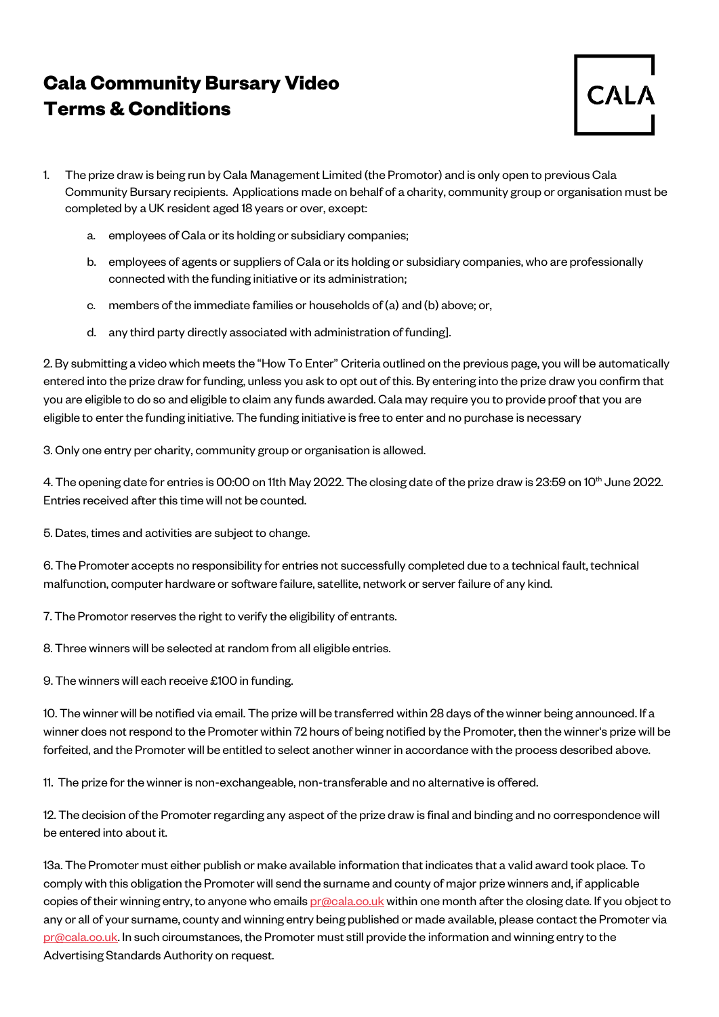# **Cala Community Bursary Video Terms & Conditions**



- 1. The prize draw is being run by Cala Management Limited (the Promotor) and is only open to previous Cala Community Bursary recipients. Applications made on behalf of a charity, community group or organisation must be completed by a UK resident aged 18 years or over, except:
	- a. employees of Cala or its holding or subsidiary companies;
	- b. employees of agents or suppliers of Cala or its holding or subsidiary companies, who are professionally connected with the funding initiative or its administration;
	- c. members of the immediate families or households of (a) and (b) above; or,
	- d. any third party directly associated with administration of funding].

2. By submitting a video which meets the "How To Enter" Criteria outlined on the previous page, you will be automatically entered into the prize draw for funding, unless you ask to opt out of this. By entering into the prize draw you confirm that you are eligible to do so and eligible to claim any funds awarded. Cala may require you to provide proof that you are eligible to enter the funding initiative. The funding initiative is free to enter and no purchase is necessary

3. Only one entry per charity, community group or organisation is allowed.

4. The opening date for entries is 00:00 on 11th May 2022. The closing date of the prize draw is 23:59 on 10<sup>th</sup> June 2022. Entries received after this time will not be counted.

5. Dates, times and activities are subject to change.

6. The Promoter accepts no responsibility for entries not successfully completed due to a technical fault, technical malfunction, computer hardware or software failure, satellite, network or server failure of any kind.

7. The Promotor reserves the right to verify the eligibility of entrants.

8. Three winners will be selected at random from all eligible entries.

9. The winners will each receive £100 in funding.

10. The winner will be notified via email. The prize will be transferred within 28 days of the winner being announced. If a winner does not respond to the Promoter within 72 hours of being notified by the Promoter, then the winner's prize will be forfeited, and the Promoter will be entitled to select another winner in accordance with the process described above.

11. The prize for the winner is non-exchangeable, non-transferable and no alternative is offered.

12. The decision of the Promoter regarding any aspect of the prize draw is final and binding and no correspondence will be entered into about it.

13a. The Promoter must either publish or make available information that indicates that a valid award took place. To comply with this obligation the Promoter will send the surname and county of major prize winners and, if applicable copies of their winning entry, to anyone who emails [pr@cala.co.uk](mailto:pr@cala.co.uk) within one month after the closing date. If you object to any or all of your surname, county and winning entry being published or made available, please contact the Promoter via [pr@cala.co.uk.](mailto:pr@cala.co.uk) In such circumstances, the Promoter must still provide the information and winning entry to the Advertising Standards Authority on request.